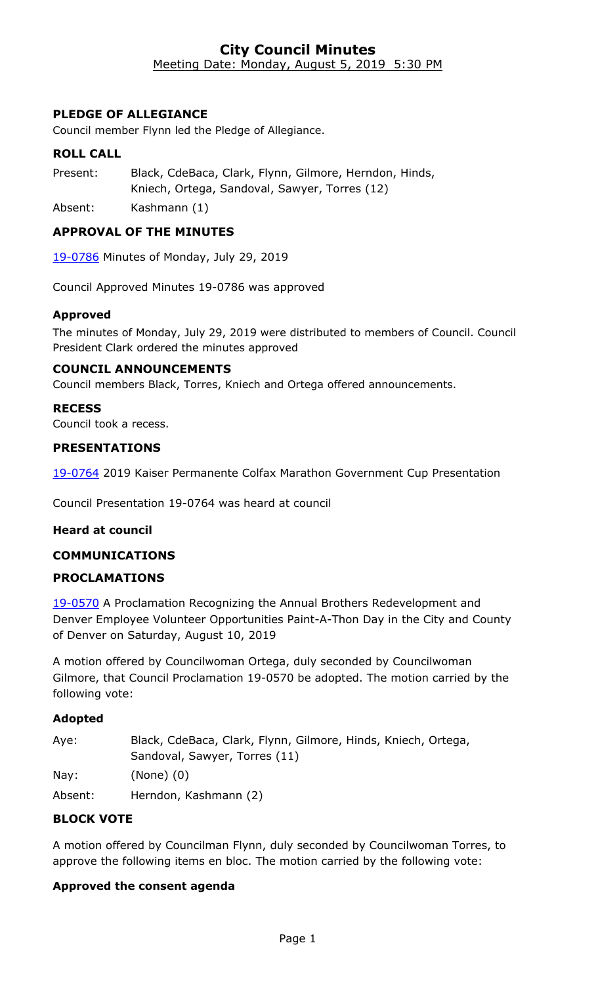### **City Council Minutes** Meeting Date: Monday, August 5, 2019 5:30 PM

## **PLEDGE OF ALLEGIANCE**

Council member Flynn led the Pledge of Allegiance.

#### **ROLL CALL**

Present: Black, CdeBaca, Clark, Flynn, Gilmore, Herndon, Hinds, Kniech, Ortega, Sandoval, Sawyer, Torres (12)

Absent: Kashmann (1)

#### **APPROVAL OF THE MINUTES**

19-0786 [Minutes of Monday, July 29, 2019](http://denver.legistar.com/gateway.aspx?m=l&id=/matter.aspx?key=15327)

Council Approved Minutes 19-0786 was approved

#### **Approved**

The minutes of Monday, July 29, 2019 were distributed to members of Council. Council President Clark ordered the minutes approved

#### **COUNCIL ANNOUNCEMENTS**

Council members Black, Torres, Kniech and Ortega offered announcements.

#### **RECESS**

Council took a recess.

#### **PRESENTATIONS**

19-0764 [2019 Kaiser Permanente Colfax Marathon Government Cup Presentation](http://denver.legistar.com/gateway.aspx?m=l&id=/matter.aspx?key=15305)

Council Presentation 19-0764 was heard at council

#### **Heard at council**

#### **COMMUNICATIONS**

#### **PROCLAMATIONS**

19-0570 A Proclamation Recognizing the Annual Brothers Redevelopment and [Denver Employee Volunteer Opportunities Paint-A-Thon Day in the City and County](http://denver.legistar.com/gateway.aspx?m=l&id=/matter.aspx?key=15111)  of Denver on Saturday, August 10, 2019

A motion offered by Councilwoman Ortega, duly seconded by Councilwoman Gilmore, that Council Proclamation 19-0570 be adopted. The motion carried by the following vote:

#### **Adopted**

| Aye:    | Black, CdeBaca, Clark, Flynn, Gilmore, Hinds, Kniech, Ortega, |
|---------|---------------------------------------------------------------|
|         | Sandoval, Sawyer, Torres (11)                                 |
| Nay:    | $(None)$ $(0)$                                                |
| Absent: | Herndon, Kashmann (2)                                         |

### **BLOCK VOTE**

A motion offered by Councilman Flynn, duly seconded by Councilwoman Torres, to approve the following items en bloc. The motion carried by the following vote:

#### **Approved the consent agenda**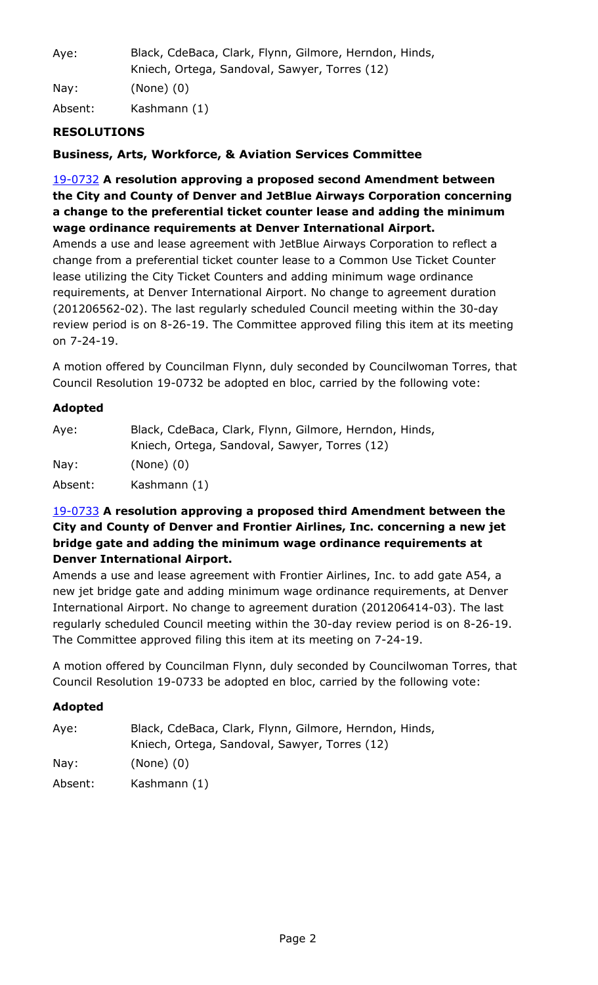| Aye:    | Black, CdeBaca, Clark, Flynn, Gilmore, Herndon, Hinds,<br>Kniech, Ortega, Sandoval, Sawyer, Torres (12) |
|---------|---------------------------------------------------------------------------------------------------------|
| Nay:    | $(None)$ $(0)$                                                                                          |
| Absent: | Kashmann (1)                                                                                            |

# **RESOLUTIONS**

**Business, Arts, Workforce, & Aviation Services Committee**

19-0732 **A resolution approving a proposed second Amendment between the City and County of Denver and JetBlue Airways Corporation concerning a change to the preferential ticket counter lease and adding the minimum wage ordinance requirements at Denver International Airport.**

Amends a use and lease agreement with JetBlue Airways Corporation to reflect a change from a preferential ticket counter lease to a Common Use Ticket Counter lease utilizing the City Ticket Counters and adding minimum wage ordinance requirements, at Denver International Airport. No change to agreement duration (201206562-02). The last regularly scheduled Council meeting within the 30-day [review period is on 8-26-19. The Committee approved filing this item at its meeting](http://denver.legistar.com/gateway.aspx?m=l&id=/matter.aspx?key=15273)  on 7-24-19.

A motion offered by Councilman Flynn, duly seconded by Councilwoman Torres, that Council Resolution 19-0732 be adopted en bloc, carried by the following vote:

#### **Adopted**

| Aye:    | Black, CdeBaca, Clark, Flynn, Gilmore, Herndon, Hinds, |
|---------|--------------------------------------------------------|
|         | Kniech, Ortega, Sandoval, Sawyer, Torres (12)          |
| Nay:    | $(None)$ $(0)$                                         |
| Absent: | Kashmann (1)                                           |

# 19-0733 **A resolution approving a proposed third Amendment between the City and County of Denver and Frontier Airlines, Inc. concerning a new jet bridge gate and adding the minimum wage ordinance requirements at Denver International Airport.**

Amends a use and lease agreement with Frontier Airlines, Inc. to add gate A54, a new jet bridge gate and adding minimum wage ordinance requirements, at Denver International Airport. No change to agreement duration (201206414-03). The last [regularly scheduled Council meeting within the 30-day review period is on 8-26-19.](http://denver.legistar.com/gateway.aspx?m=l&id=/matter.aspx?key=15274)  The Committee approved filing this item at its meeting on 7-24-19.

A motion offered by Councilman Flynn, duly seconded by Councilwoman Torres, that Council Resolution 19-0733 be adopted en bloc, carried by the following vote:

| Aye:    | Black, CdeBaca, Clark, Flynn, Gilmore, Herndon, Hinds,<br>Kniech, Ortega, Sandoval, Sawyer, Torres (12) |
|---------|---------------------------------------------------------------------------------------------------------|
| Nay:    | $(None)$ $(0)$                                                                                          |
| Absent: | Kashmann (1)                                                                                            |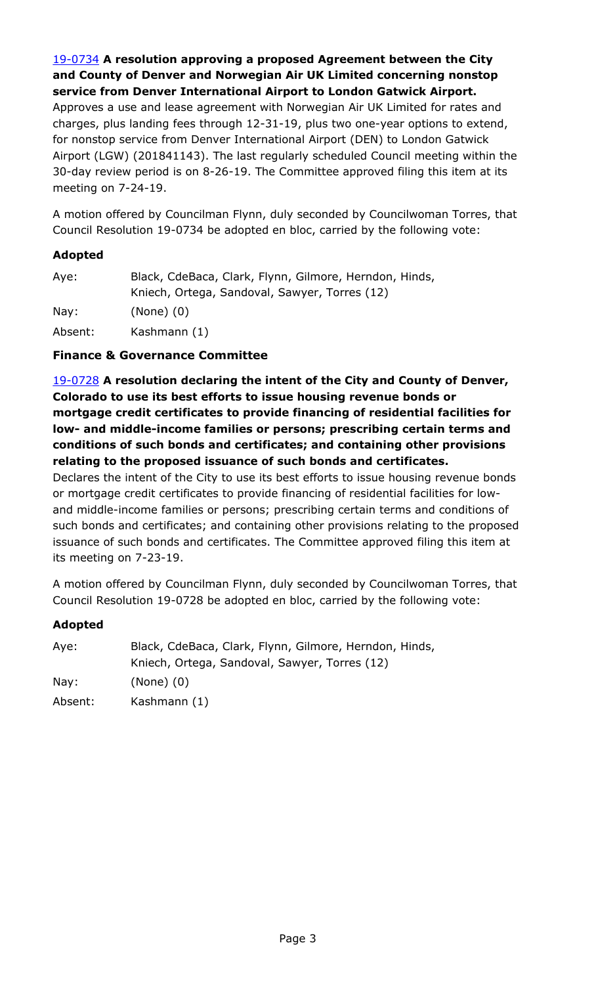### 19-0734 **A resolution approving a proposed Agreement between the City and County of Denver and Norwegian Air UK Limited concerning nonstop service from Denver International Airport to London Gatwick Airport.**

Approves a use and lease agreement with Norwegian Air UK Limited for rates and charges, plus landing fees through 12-31-19, plus two one-year options to extend, for nonstop service from Denver International Airport (DEN) to London Gatwick [Airport \(LGW\) \(201841143\). The last regularly scheduled Council meeting within the](http://denver.legistar.com/gateway.aspx?m=l&id=/matter.aspx?key=15275)  30-day review period is on 8-26-19. The Committee approved filing this item at its meeting on 7-24-19.

A motion offered by Councilman Flynn, duly seconded by Councilwoman Torres, that Council Resolution 19-0734 be adopted en bloc, carried by the following vote:

# **Adopted**

| Aye:            | Black, CdeBaca, Clark, Flynn, Gilmore, Herndon, Hinds,<br>Kniech, Ortega, Sandoval, Sawyer, Torres (12) |
|-----------------|---------------------------------------------------------------------------------------------------------|
| $\textsf{Nav:}$ | $(None)$ $(0)$                                                                                          |
| Absent:         | Kashmann (1)                                                                                            |

### **Finance & Governance Committee**

19-0728 **A resolution declaring the intent of the City and County of Denver, Colorado to use its best efforts to issue housing revenue bonds or mortgage credit certificates to provide financing of residential facilities for low- and middle-income families or persons; prescribing certain terms and conditions of such bonds and certificates; and containing other provisions relating to the proposed issuance of such bonds and certificates.**

Declares the intent of the City to use its best efforts to issue housing revenue bonds or mortgage credit certificates to provide financing of residential facilities for lowand middle-income families or persons; prescribing certain terms and conditions of [such bonds and certificates; and containing other provisions relating to the proposed](http://denver.legistar.com/gateway.aspx?m=l&id=/matter.aspx?key=15269)  issuance of such bonds and certificates. The Committee approved filing this item at its meeting on 7-23-19.

A motion offered by Councilman Flynn, duly seconded by Councilwoman Torres, that Council Resolution 19-0728 be adopted en bloc, carried by the following vote:

| Aye:    | Black, CdeBaca, Clark, Flynn, Gilmore, Herndon, Hinds, |
|---------|--------------------------------------------------------|
|         | Kniech, Ortega, Sandoval, Sawyer, Torres (12)          |
| Nay:    | $(None)$ $(0)$                                         |
| Absent: | Kashmann (1)                                           |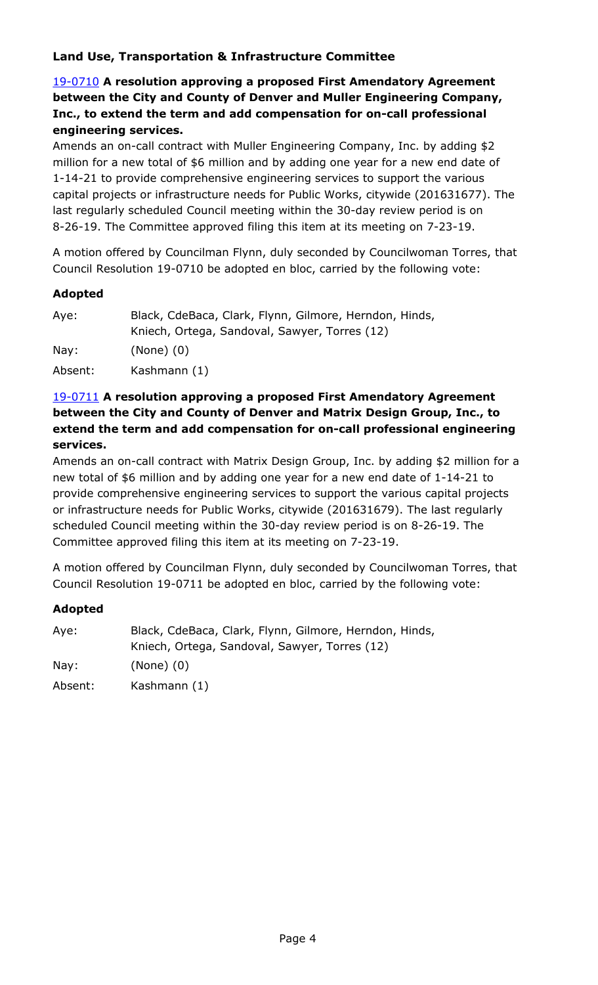# **Land Use, Transportation & Infrastructure Committee**

# 19-0710 **A resolution approving a proposed First Amendatory Agreement between the City and County of Denver and Muller Engineering Company, Inc., to extend the term and add compensation for on-call professional engineering services.**

Amends an on-call contract with Muller Engineering Company, Inc. by adding \$2 million for a new total of \$6 million and by adding one year for a new end date of 1-14-21 to provide comprehensive engineering services to support the various [capital projects or infrastructure needs for Public Works, citywide \(201631677\). The](http://denver.legistar.com/gateway.aspx?m=l&id=/matter.aspx?key=15251)  last regularly scheduled Council meeting within the 30-day review period is on 8-26-19. The Committee approved filing this item at its meeting on 7-23-19.

A motion offered by Councilman Flynn, duly seconded by Councilwoman Torres, that Council Resolution 19-0710 be adopted en bloc, carried by the following vote:

### **Adopted**

| Aye:    | Black, CdeBaca, Clark, Flynn, Gilmore, Herndon, Hinds, |
|---------|--------------------------------------------------------|
|         | Kniech, Ortega, Sandoval, Sawyer, Torres (12)          |
| Nay:    | $(None)$ $(0)$                                         |
| Absent: | Kashmann (1)                                           |

# 19-0711 **A resolution approving a proposed First Amendatory Agreement between the City and County of Denver and Matrix Design Group, Inc., to extend the term and add compensation for on-call professional engineering services.**

[Amends an on-call contract with Matrix Design Group, Inc. by adding \\$2 million for a](http://denver.legistar.com/gateway.aspx?m=l&id=/matter.aspx?key=15252)  new total of \$6 million and by adding one year for a new end date of 1-14-21 to provide comprehensive engineering services to support the various capital projects or infrastructure needs for Public Works, citywide (201631679). The last regularly scheduled Council meeting within the 30-day review period is on 8-26-19. The Committee approved filing this item at its meeting on 7-23-19.

A motion offered by Councilman Flynn, duly seconded by Councilwoman Torres, that Council Resolution 19-0711 be adopted en bloc, carried by the following vote:

| Aye:    | Black, CdeBaca, Clark, Flynn, Gilmore, Herndon, Hinds, |
|---------|--------------------------------------------------------|
|         | Kniech, Ortega, Sandoval, Sawyer, Torres (12)          |
| Nay:    | $(None)$ $(0)$                                         |
| Absent: | Kashmann (1)                                           |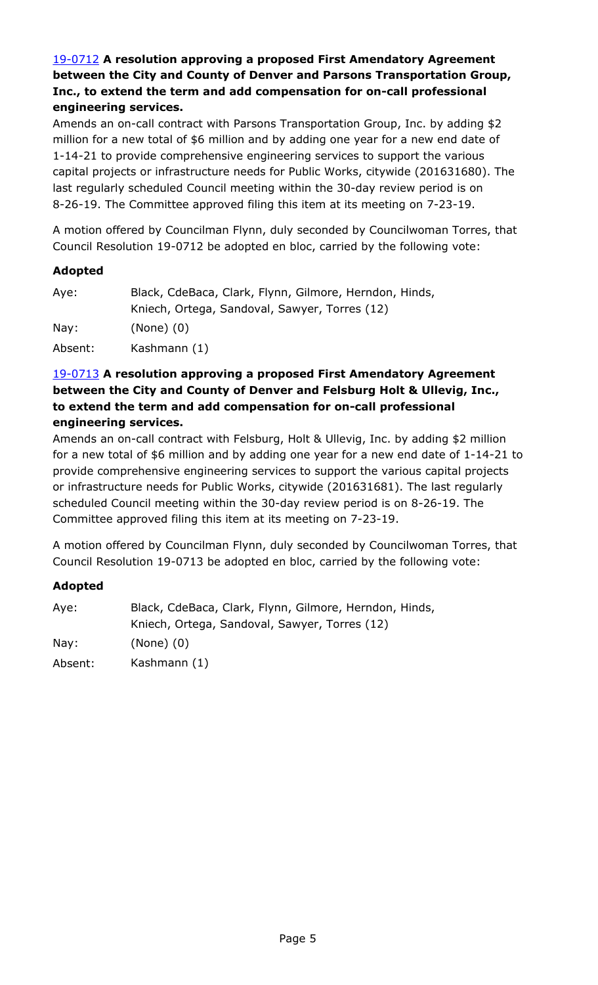# 19-0712 **A resolution approving a proposed First Amendatory Agreement between the City and County of Denver and Parsons Transportation Group, Inc., to extend the term and add compensation for on-call professional engineering services.**

Amends an on-call contract with Parsons Transportation Group, Inc. by adding \$2 million for a new total of \$6 million and by adding one year for a new end date of 1-14-21 to provide comprehensive engineering services to support the various [capital projects or infrastructure needs for Public Works, citywide \(201631680\). The](http://denver.legistar.com/gateway.aspx?m=l&id=/matter.aspx?key=15253)  last regularly scheduled Council meeting within the 30-day review period is on 8-26-19. The Committee approved filing this item at its meeting on 7-23-19.

A motion offered by Councilman Flynn, duly seconded by Councilwoman Torres, that Council Resolution 19-0712 be adopted en bloc, carried by the following vote:

### **Adopted**

| Aye:            | Black, CdeBaca, Clark, Flynn, Gilmore, Herndon, Hinds, |
|-----------------|--------------------------------------------------------|
|                 | Kniech, Ortega, Sandoval, Sawyer, Torres (12)          |
| $\textsf{Nay}:$ | $(None)$ $(0)$                                         |
| Absent:         | Kashmann (1)                                           |

### 19-0713 **A resolution approving a proposed First Amendatory Agreement between the City and County of Denver and Felsburg Holt & Ullevig, Inc., to extend the term and add compensation for on-call professional engineering services.**

Amends an on-call contract with Felsburg, Holt & Ullevig, Inc. by adding \$2 million [for a new total of \\$6 million and by adding one year for a new end date of 1-14-21 to](http://denver.legistar.com/gateway.aspx?m=l&id=/matter.aspx?key=15254)  provide comprehensive engineering services to support the various capital projects or infrastructure needs for Public Works, citywide (201631681). The last regularly scheduled Council meeting within the 30-day review period is on 8-26-19. The Committee approved filing this item at its meeting on 7-23-19.

A motion offered by Councilman Flynn, duly seconded by Councilwoman Torres, that Council Resolution 19-0713 be adopted en bloc, carried by the following vote:

| Aye:    | Black, CdeBaca, Clark, Flynn, Gilmore, Herndon, Hinds, |
|---------|--------------------------------------------------------|
|         | Kniech, Ortega, Sandoval, Sawyer, Torres (12)          |
| Nay:    | $(None)$ $(0)$                                         |
| Absent: | Kashmann (1)                                           |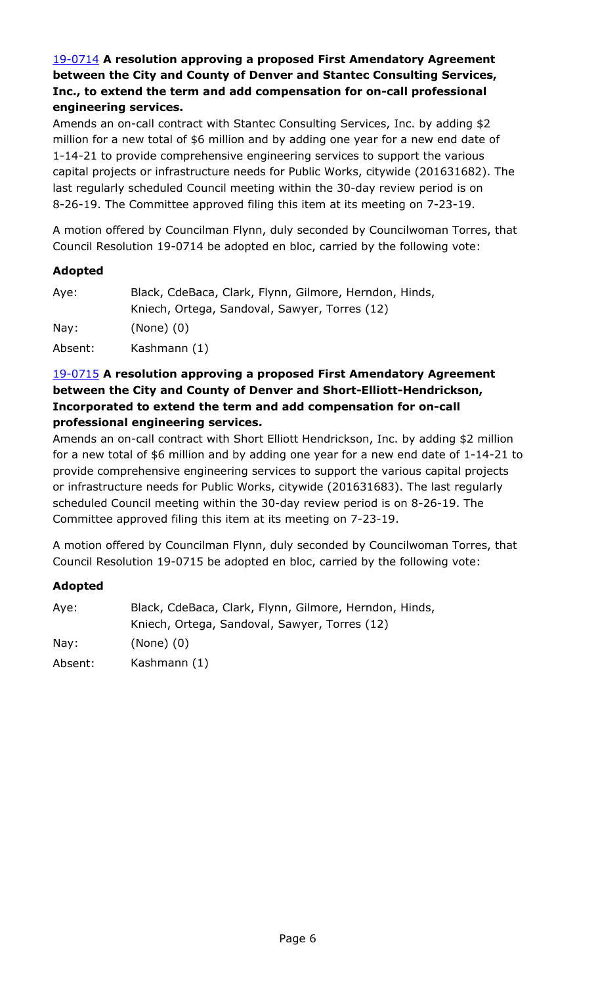# 19-0714 **A resolution approving a proposed First Amendatory Agreement between the City and County of Denver and Stantec Consulting Services, Inc., to extend the term and add compensation for on-call professional engineering services.**

Amends an on-call contract with Stantec Consulting Services, Inc. by adding \$2 million for a new total of \$6 million and by adding one year for a new end date of 1-14-21 to provide comprehensive engineering services to support the various [capital projects or infrastructure needs for Public Works, citywide \(201631682\). The](http://denver.legistar.com/gateway.aspx?m=l&id=/matter.aspx?key=15255)  last regularly scheduled Council meeting within the 30-day review period is on 8-26-19. The Committee approved filing this item at its meeting on 7-23-19.

A motion offered by Councilman Flynn, duly seconded by Councilwoman Torres, that Council Resolution 19-0714 be adopted en bloc, carried by the following vote:

### **Adopted**

| Aye:    | Black, CdeBaca, Clark, Flynn, Gilmore, Herndon, Hinds, |
|---------|--------------------------------------------------------|
|         | Kniech, Ortega, Sandoval, Sawyer, Torres (12)          |
| Nay:    | $(None)$ $(0)$                                         |
| Absent: | Kashmann (1)                                           |

### 19-0715 **A resolution approving a proposed First Amendatory Agreement between the City and County of Denver and Short-Elliott-Hendrickson, Incorporated to extend the term and add compensation for on-call professional engineering services.**

Amends an on-call contract with Short Elliott Hendrickson, Inc. by adding \$2 million [for a new total of \\$6 million and by adding one year for a new end date of 1-14-21 to](http://denver.legistar.com/gateway.aspx?m=l&id=/matter.aspx?key=15256)  provide comprehensive engineering services to support the various capital projects or infrastructure needs for Public Works, citywide (201631683). The last regularly scheduled Council meeting within the 30-day review period is on 8-26-19. The Committee approved filing this item at its meeting on 7-23-19.

A motion offered by Councilman Flynn, duly seconded by Councilwoman Torres, that Council Resolution 19-0715 be adopted en bloc, carried by the following vote:

| Aye:            | Black, CdeBaca, Clark, Flynn, Gilmore, Herndon, Hinds, |
|-----------------|--------------------------------------------------------|
|                 | Kniech, Ortega, Sandoval, Sawyer, Torres (12)          |
| $\textsf{Nay}:$ | $(None)$ $(0)$                                         |
| Absent:         | Kashmann (1)                                           |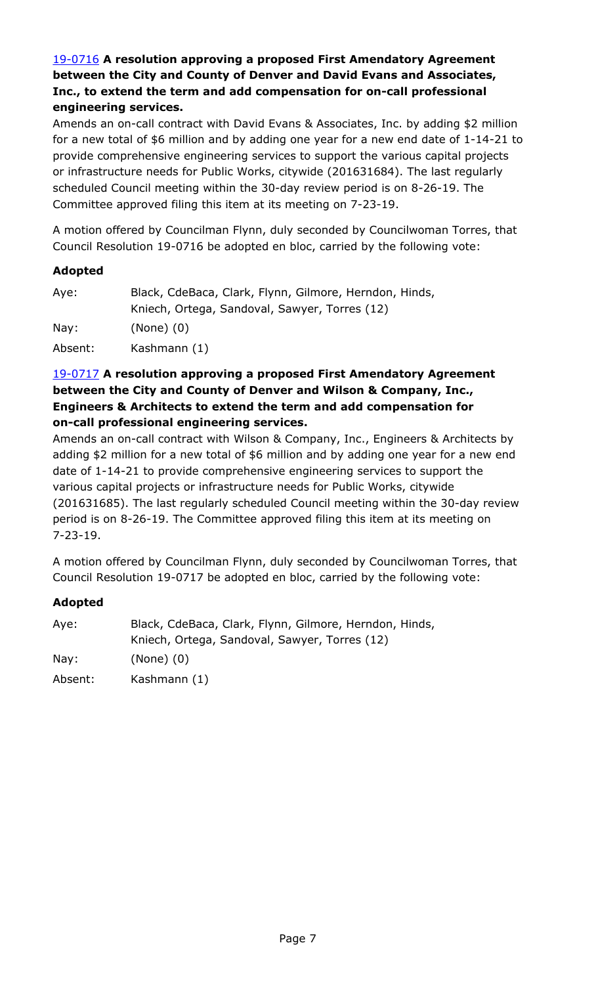# 19-0716 **A resolution approving a proposed First Amendatory Agreement between the City and County of Denver and David Evans and Associates, Inc., to extend the term and add compensation for on-call professional engineering services.**

Amends an on-call contract with David Evans & Associates, Inc. by adding \$2 million [for a new total of \\$6 million and by adding one year for a new end date of 1-14-21 to](http://denver.legistar.com/gateway.aspx?m=l&id=/matter.aspx?key=15257)  provide comprehensive engineering services to support the various capital projects or infrastructure needs for Public Works, citywide (201631684). The last regularly scheduled Council meeting within the 30-day review period is on 8-26-19. The Committee approved filing this item at its meeting on 7-23-19.

A motion offered by Councilman Flynn, duly seconded by Councilwoman Torres, that Council Resolution 19-0716 be adopted en bloc, carried by the following vote:

### **Adopted**

| Aye:    | Black, CdeBaca, Clark, Flynn, Gilmore, Herndon, Hinds, |
|---------|--------------------------------------------------------|
|         | Kniech, Ortega, Sandoval, Sawyer, Torres (12)          |
| Nay:    | $(None)$ $(0)$                                         |
| Absent: | Kashmann (1)                                           |

# 19-0717 **A resolution approving a proposed First Amendatory Agreement between the City and County of Denver and Wilson & Company, Inc., Engineers & Architects to extend the term and add compensation for on-call professional engineering services.**

Amends an on-call contract with Wilson & Company, Inc., Engineers & Architects by adding \$2 million for a new total of \$6 million and by adding one year for a new end date of 1-14-21 to provide comprehensive engineering services to support the various capital projects or infrastructure needs for Public Works, citywide [\(201631685\). The last regularly scheduled Council meeting within the 30-day review](http://denver.legistar.com/gateway.aspx?m=l&id=/matter.aspx?key=15258)  period is on 8-26-19. The Committee approved filing this item at its meeting on 7-23-19.

A motion offered by Councilman Flynn, duly seconded by Councilwoman Torres, that Council Resolution 19-0717 be adopted en bloc, carried by the following vote:

| Aye:    | Black, CdeBaca, Clark, Flynn, Gilmore, Herndon, Hinds, |
|---------|--------------------------------------------------------|
|         | Kniech, Ortega, Sandoval, Sawyer, Torres (12)          |
| Nay:    | $(None)$ $(0)$                                         |
| Absent: | Kashmann (1)                                           |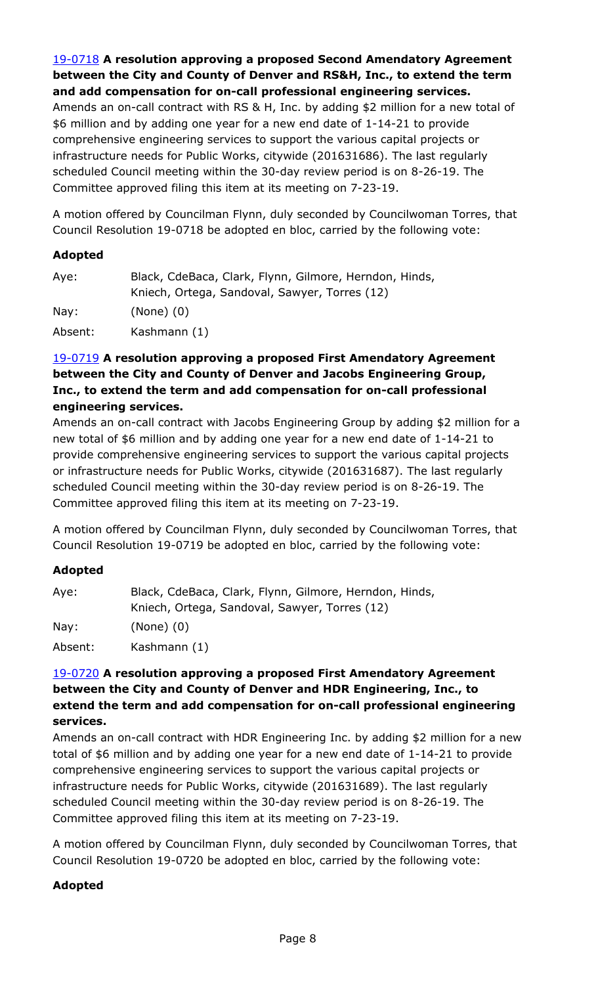# 19-0718 **A resolution approving a proposed Second Amendatory Agreement between the City and County of Denver and RS&H, Inc., to extend the term and add compensation for on-call professional engineering services.**

[Amends an on-call contract with RS & H, Inc. by adding \\$2 million for a new total of](http://denver.legistar.com/gateway.aspx?m=l&id=/matter.aspx?key=15259)  \$6 million and by adding one year for a new end date of 1-14-21 to provide comprehensive engineering services to support the various capital projects or infrastructure needs for Public Works, citywide (201631686). The last regularly scheduled Council meeting within the 30-day review period is on 8-26-19. The Committee approved filing this item at its meeting on 7-23-19.

A motion offered by Councilman Flynn, duly seconded by Councilwoman Torres, that Council Resolution 19-0718 be adopted en bloc, carried by the following vote:

# **Adopted**

| Aye:    | Black, CdeBaca, Clark, Flynn, Gilmore, Herndon, Hinds, |
|---------|--------------------------------------------------------|
|         | Kniech, Ortega, Sandoval, Sawyer, Torres (12)          |
| Nay:    | $(None)$ $(0)$                                         |
| Absent: | Kashmann (1)                                           |

# 19-0719 **A resolution approving a proposed First Amendatory Agreement between the City and County of Denver and Jacobs Engineering Group, Inc., to extend the term and add compensation for on-call professional engineering services.**

[Amends an on-call contract with Jacobs Engineering Group by adding \\$2 million for a](http://denver.legistar.com/gateway.aspx?m=l&id=/matter.aspx?key=15260)  new total of \$6 million and by adding one year for a new end date of 1-14-21 to provide comprehensive engineering services to support the various capital projects or infrastructure needs for Public Works, citywide (201631687). The last regularly scheduled Council meeting within the 30-day review period is on 8-26-19. The Committee approved filing this item at its meeting on 7-23-19.

A motion offered by Councilman Flynn, duly seconded by Councilwoman Torres, that Council Resolution 19-0719 be adopted en bloc, carried by the following vote:

#### **Adopted**

| Aye:    | Black, CdeBaca, Clark, Flynn, Gilmore, Herndon, Hinds, |
|---------|--------------------------------------------------------|
|         | Kniech, Ortega, Sandoval, Sawyer, Torres (12)          |
| Nay:    | $(None)$ $(0)$                                         |
| Absent: | Kashmann (1)                                           |

# 19-0720 **A resolution approving a proposed First Amendatory Agreement between the City and County of Denver and HDR Engineering, Inc., to extend the term and add compensation for on-call professional engineering services.**

[Amends an on-call contract with HDR Engineering Inc. by adding \\$2 million for a new](http://denver.legistar.com/gateway.aspx?m=l&id=/matter.aspx?key=15261)  total of \$6 million and by adding one year for a new end date of 1-14-21 to provide comprehensive engineering services to support the various capital projects or infrastructure needs for Public Works, citywide (201631689). The last regularly scheduled Council meeting within the 30-day review period is on 8-26-19. The Committee approved filing this item at its meeting on 7-23-19.

A motion offered by Councilman Flynn, duly seconded by Councilwoman Torres, that Council Resolution 19-0720 be adopted en bloc, carried by the following vote: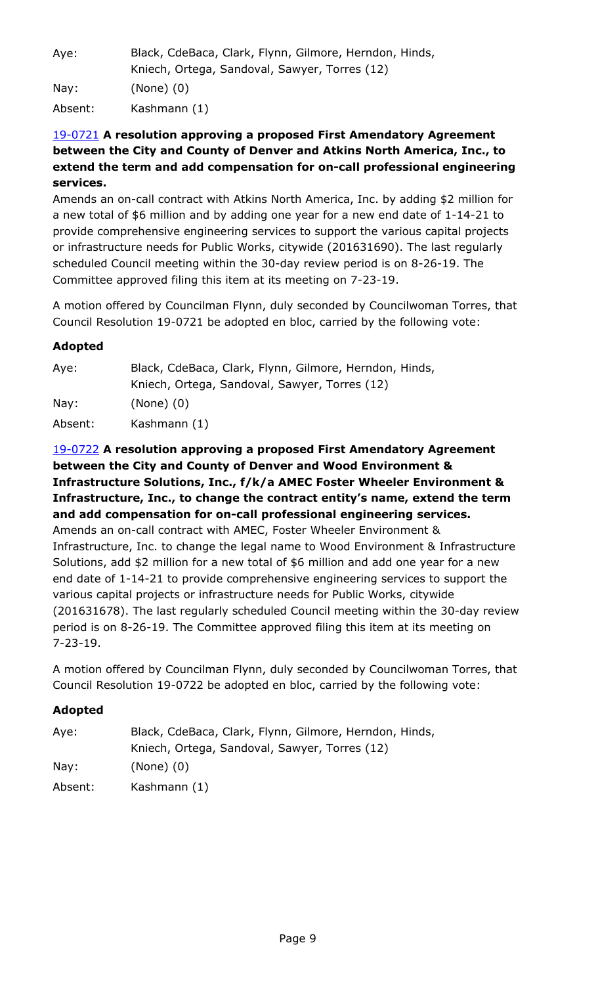| Aye:    | Black, CdeBaca, Clark, Flynn, Gilmore, Herndon, Hinds,<br>Kniech, Ortega, Sandoval, Sawyer, Torres (12) |
|---------|---------------------------------------------------------------------------------------------------------|
| Nay:    | $(None)$ $(0)$                                                                                          |
| Absent: | Kashmann (1)                                                                                            |

# 19-0721 **A resolution approving a proposed First Amendatory Agreement between the City and County of Denver and Atkins North America, Inc., to [extend the term and add compensation for on-call professional engineering](http://denver.legistar.com/gateway.aspx?m=l&id=/matter.aspx?key=15262)  services.**

Amends an on-call contract with Atkins North America, Inc. by adding \$2 million for a new total of \$6 million and by adding one year for a new end date of 1-14-21 to provide comprehensive engineering services to support the various capital projects or infrastructure needs for Public Works, citywide (201631690). The last regularly scheduled Council meeting within the 30-day review period is on 8-26-19. The Committee approved filing this item at its meeting on 7-23-19.

A motion offered by Councilman Flynn, duly seconded by Councilwoman Torres, that Council Resolution 19-0721 be adopted en bloc, carried by the following vote:

# **Adopted**

| Aye:    | Black, CdeBaca, Clark, Flynn, Gilmore, Herndon, Hinds,<br>Kniech, Ortega, Sandoval, Sawyer, Torres (12) |
|---------|---------------------------------------------------------------------------------------------------------|
| Nay:    | $(None)$ $(0)$                                                                                          |
| Absent: | Kashmann (1)                                                                                            |

# 19-0722 **A resolution approving a proposed First Amendatory Agreement between the City and County of Denver and Wood Environment & Infrastructure Solutions, Inc., f/k/a AMEC Foster Wheeler Environment & Infrastructure, Inc., to change the contract entity's name, extend the term and add compensation for on-call professional engineering services.** Amends an on-call contract with AMEC, Foster Wheeler Environment & Infrastructure, Inc. to change the legal name to Wood Environment & Infrastructure Solutions, add \$2 million for a new total of \$6 million and add one year for a new end date of 1-14-21 to provide comprehensive engineering services to support the various capital projects or infrastructure needs for Public Works, citywide [\(201631678\). The last regularly scheduled Council meeting within the 30-day review](http://denver.legistar.com/gateway.aspx?m=l&id=/matter.aspx?key=15263)  period is on 8-26-19. The Committee approved filing this item at its meeting on 7-23-19.

A motion offered by Councilman Flynn, duly seconded by Councilwoman Torres, that Council Resolution 19-0722 be adopted en bloc, carried by the following vote:

| Aye:    | Black, CdeBaca, Clark, Flynn, Gilmore, Herndon, Hinds,<br>Kniech, Ortega, Sandoval, Sawyer, Torres (12) |
|---------|---------------------------------------------------------------------------------------------------------|
| Nay:    | $(None)$ $(0)$                                                                                          |
| Absent: | Kashmann (1)                                                                                            |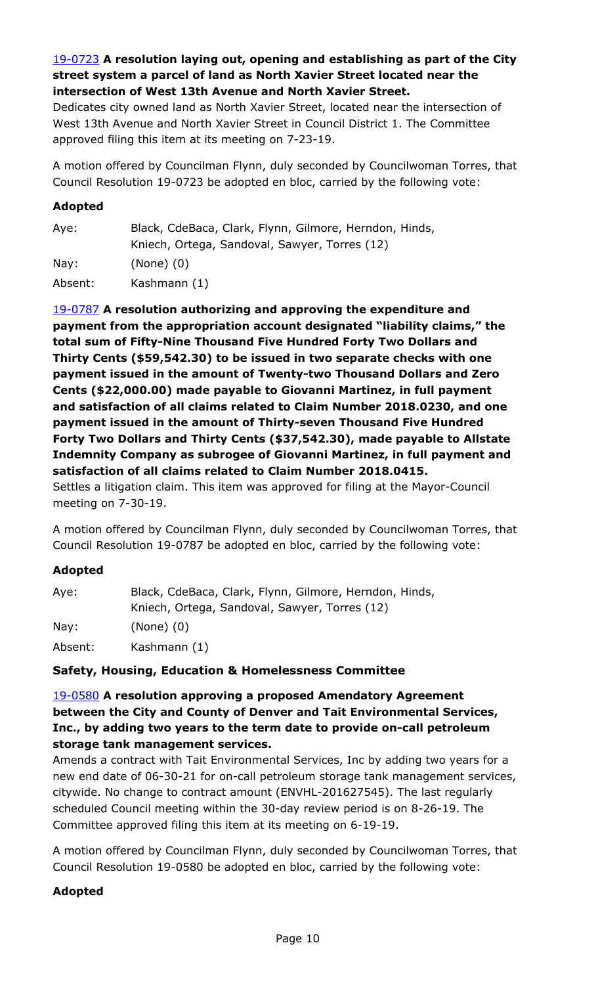# 19-0723 **A resolution laying out, opening and establishing as part of the City street system a parcel of land as North Xavier Street located near the intersection of West 13th Avenue and North Xavier Street.**

[Dedicates city owned land as North Xavier Street, located near the intersection of](http://denver.legistar.com/gateway.aspx?m=l&id=/matter.aspx?key=15264)  West 13th Avenue and North Xavier Street in Council District 1. The Committee approved filing this item at its meeting on 7-23-19.

A motion offered by Councilman Flynn, duly seconded by Councilwoman Torres, that Council Resolution 19-0723 be adopted en bloc, carried by the following vote:

### **Adopted**

| Aye:            | Black, CdeBaca, Clark, Flynn, Gilmore, Herndon, Hinds,<br>Kniech, Ortega, Sandoval, Sawyer, Torres (12) |
|-----------------|---------------------------------------------------------------------------------------------------------|
| $\textsf{Nav:}$ | $(None)$ $(0)$                                                                                          |
| Absent:         | Kashmann (1)                                                                                            |

19-0787 **A resolution authorizing and approving the expenditure and payment from the appropriation account designated "liability claims," the total sum of Fifty-Nine Thousand Five Hundred Forty Two Dollars and Thirty Cents (\$59,542.30) to be issued in two separate checks with one payment issued in the amount of Twenty-two Thousand Dollars and Zero Cents (\$22,000.00) made payable to Giovanni Martinez, in full payment and satisfaction of all claims related to Claim Number 2018.0230, and one payment issued in the amount of Thirty-seven Thousand Five Hundred Forty Two Dollars and Thirty Cents (\$37,542.30), made payable to Allstate [Indemnity Company as subrogee of Giovanni Martinez, in full payment and](http://denver.legistar.com/gateway.aspx?m=l&id=/matter.aspx?key=15328)  satisfaction of all claims related to Claim Number 2018.0415.**  Settles a litigation claim. This item was approved for filing at the Mayor-Council meeting on 7-30-19.

A motion offered by Councilman Flynn, duly seconded by Councilwoman Torres, that Council Resolution 19-0787 be adopted en bloc, carried by the following vote:

#### **Adopted**

| Aye:    | Black, CdeBaca, Clark, Flynn, Gilmore, Herndon, Hinds, |
|---------|--------------------------------------------------------|
|         | Kniech, Ortega, Sandoval, Sawyer, Torres (12)          |
| Nay:    | $(None)$ $(0)$                                         |
| Absent: | Kashmann (1)                                           |

#### **Safety, Housing, Education & Homelessness Committee**

# 19-0580 **A resolution approving a proposed Amendatory Agreement between the City and County of Denver and Tait Environmental Services, Inc., by adding two years to the term date to provide on-call petroleum storage tank management services.**

Amends a contract with Tait Environmental Services, Inc by adding two years for a [new end date of 06-30-21 for on-call petroleum storage tank management services,](http://denver.legistar.com/gateway.aspx?m=l&id=/matter.aspx?key=15121)  citywide. No change to contract amount (ENVHL-201627545). The last regularly scheduled Council meeting within the 30-day review period is on 8-26-19. The Committee approved filing this item at its meeting on 6-19-19.

A motion offered by Councilman Flynn, duly seconded by Councilwoman Torres, that Council Resolution 19-0580 be adopted en bloc, carried by the following vote: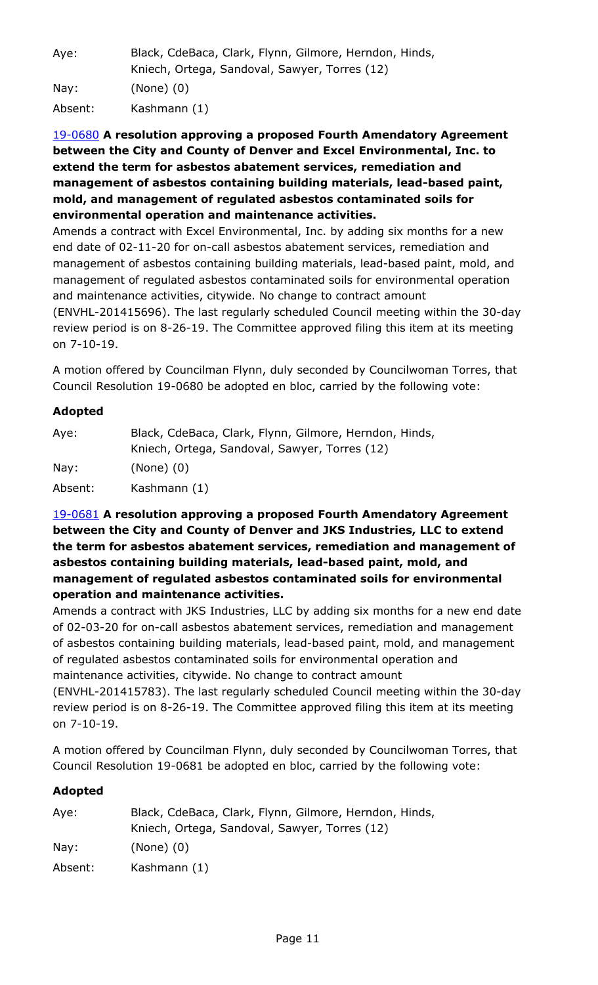| Aye:    | Black, CdeBaca, Clark, Flynn, Gilmore, Herndon, Hinds,<br>Kniech, Ortega, Sandoval, Sawyer, Torres (12) |
|---------|---------------------------------------------------------------------------------------------------------|
| Nay:    | $(None)$ $(0)$                                                                                          |
| Absent: | Kashmann (1)                                                                                            |

# 19-0680 **A resolution approving a proposed Fourth Amendatory Agreement between the City and County of Denver and Excel Environmental, Inc. to extend the term for asbestos abatement services, remediation and management of asbestos containing building materials, lead-based paint, mold, and management of regulated asbestos contaminated soils for environmental operation and maintenance activities.**

Amends a contract with Excel Environmental, Inc. by adding six months for a new end date of 02-11-20 for on-call asbestos abatement services, remediation and management of asbestos containing building materials, lead-based paint, mold, and management of regulated asbestos contaminated soils for environmental operation and maintenance activities, citywide. No change to contract amount [\(ENVHL-201415696\). The last regularly scheduled Council meeting within the 30-day](http://denver.legistar.com/gateway.aspx?m=l&id=/matter.aspx?key=15221)  review period is on 8-26-19. The Committee approved filing this item at its meeting on 7-10-19.

A motion offered by Councilman Flynn, duly seconded by Councilwoman Torres, that Council Resolution 19-0680 be adopted en bloc, carried by the following vote:

# **Adopted**

| Aye:    | Black, CdeBaca, Clark, Flynn, Gilmore, Herndon, Hinds, |
|---------|--------------------------------------------------------|
|         | Kniech, Ortega, Sandoval, Sawyer, Torres (12)          |
| Nay:    | $(None)$ $(0)$                                         |
| Absent: | Kashmann (1)                                           |

# 19-0681 **A resolution approving a proposed Fourth Amendatory Agreement between the City and County of Denver and JKS Industries, LLC to extend the term for asbestos abatement services, remediation and management of asbestos containing building materials, lead-based paint, mold, and management of regulated asbestos contaminated soils for environmental operation and maintenance activities.**

[Amends a contract with JKS Industries, LLC by adding six months for a new end date](http://denver.legistar.com/gateway.aspx?m=l&id=/matter.aspx?key=15222)  of 02-03-20 for on-call asbestos abatement services, remediation and management of asbestos containing building materials, lead-based paint, mold, and management of regulated asbestos contaminated soils for environmental operation and maintenance activities, citywide. No change to contract amount

(ENVHL-201415783). The last regularly scheduled Council meeting within the 30-day review period is on 8-26-19. The Committee approved filing this item at its meeting on 7-10-19.

A motion offered by Councilman Flynn, duly seconded by Councilwoman Torres, that Council Resolution 19-0681 be adopted en bloc, carried by the following vote:

| Aye:    | Black, CdeBaca, Clark, Flynn, Gilmore, Herndon, Hinds, |
|---------|--------------------------------------------------------|
|         | Kniech, Ortega, Sandoval, Sawyer, Torres (12)          |
| Nay:    | $(None)$ $(0)$                                         |
| Absent: | Kashmann (1)                                           |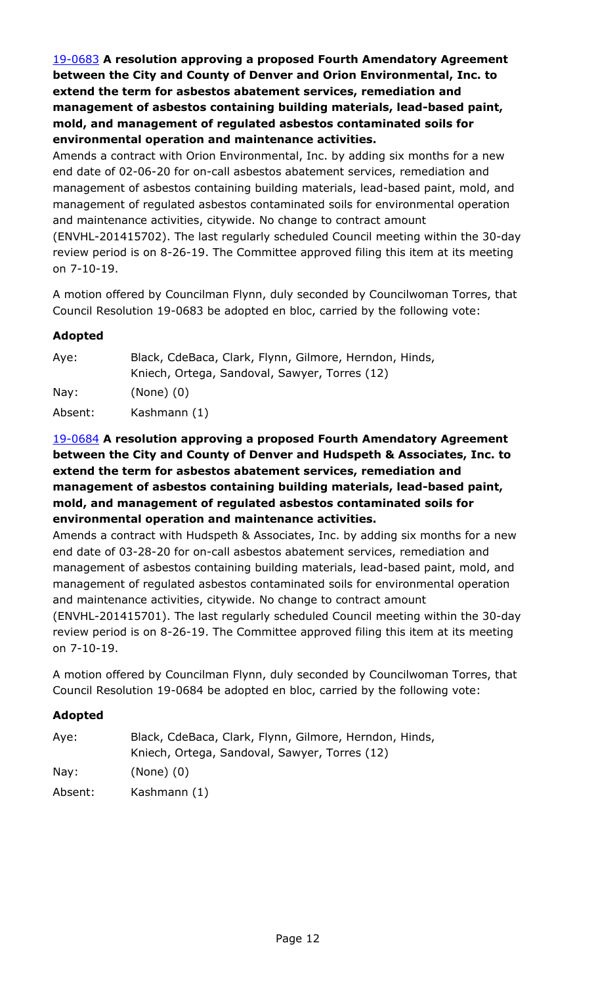19-0683 **A resolution approving a proposed Fourth Amendatory Agreement between the City and County of Denver and Orion Environmental, Inc. to extend the term for asbestos abatement services, remediation and management of asbestos containing building materials, lead-based paint, mold, and management of regulated asbestos contaminated soils for environmental operation and maintenance activities.**

Amends a contract with Orion Environmental, Inc. by adding six months for a new end date of 02-06-20 for on-call asbestos abatement services, remediation and management of asbestos containing building materials, lead-based paint, mold, and management of regulated asbestos contaminated soils for environmental operation and maintenance activities, citywide. No change to contract amount [\(ENVHL-201415702\). The last regularly scheduled Council meeting within the 30-day](http://denver.legistar.com/gateway.aspx?m=l&id=/matter.aspx?key=15224)  review period is on 8-26-19. The Committee approved filing this item at its meeting on 7-10-19.

A motion offered by Councilman Flynn, duly seconded by Councilwoman Torres, that Council Resolution 19-0683 be adopted en bloc, carried by the following vote:

# **Adopted**

| Aye:    | Black, CdeBaca, Clark, Flynn, Gilmore, Herndon, Hinds, |
|---------|--------------------------------------------------------|
|         | Kniech, Ortega, Sandoval, Sawyer, Torres (12)          |
| Nay:    | $(None)$ $(0)$                                         |
| Absent: | Kashmann (1)                                           |

## 19-0684 **A resolution approving a proposed Fourth Amendatory Agreement between the City and County of Denver and Hudspeth & Associates, Inc. to extend the term for asbestos abatement services, remediation and management of asbestos containing building materials, lead-based paint, mold, and management of regulated asbestos contaminated soils for environmental operation and maintenance activities.**

Amends a contract with Hudspeth & Associates, Inc. by adding six months for a new end date of 03-28-20 for on-call asbestos abatement services, remediation and management of asbestos containing building materials, lead-based paint, mold, and management of regulated asbestos contaminated soils for environmental operation and maintenance activities, citywide. No change to contract amount [\(ENVHL-201415701\). The last regularly scheduled Council meeting within the 30-day](http://denver.legistar.com/gateway.aspx?m=l&id=/matter.aspx?key=15225)  review period is on 8-26-19. The Committee approved filing this item at its meeting on 7-10-19.

A motion offered by Councilman Flynn, duly seconded by Councilwoman Torres, that Council Resolution 19-0684 be adopted en bloc, carried by the following vote:

| Aye:            | Black, CdeBaca, Clark, Flynn, Gilmore, Herndon, Hinds,<br>Kniech, Ortega, Sandoval, Sawyer, Torres (12) |
|-----------------|---------------------------------------------------------------------------------------------------------|
| $\textsf{Nay}:$ | $(None)$ $(0)$                                                                                          |
| Absent:         | Kashmann (1)                                                                                            |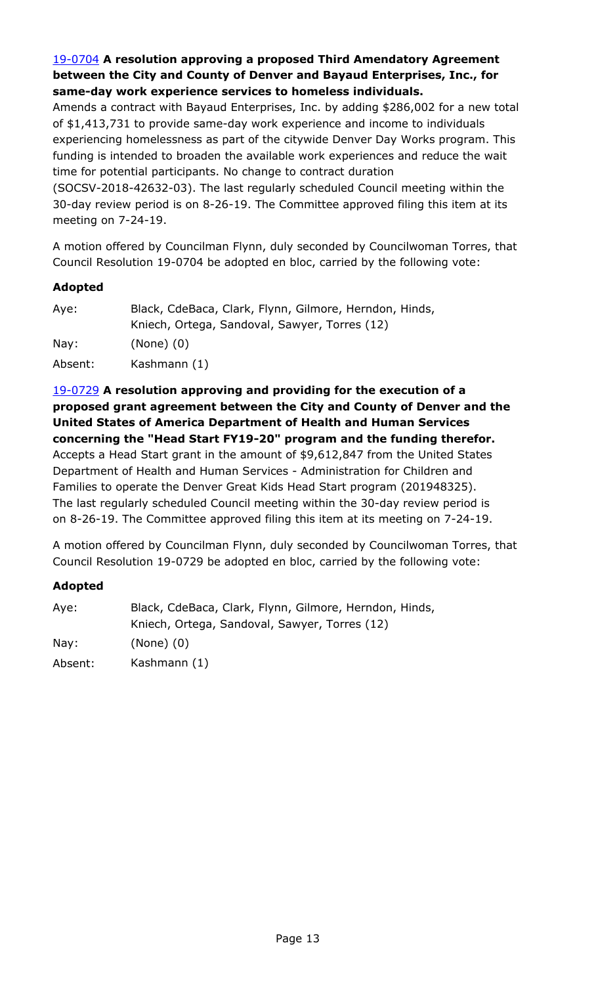# 19-0704 **A resolution approving a proposed Third Amendatory Agreement between the City and County of Denver and Bayaud Enterprises, Inc., for same-day work experience services to homeless individuals.**

[Amends a contract with Bayaud Enterprises, Inc. by adding \\$286,002 for a new total](http://denver.legistar.com/gateway.aspx?m=l&id=/matter.aspx?key=15245)  of \$1,413,731 to provide same-day work experience and income to individuals experiencing homelessness as part of the citywide Denver Day Works program. This funding is intended to broaden the available work experiences and reduce the wait time for potential participants. No change to contract duration

(SOCSV-2018-42632-03). The last regularly scheduled Council meeting within the 30-day review period is on 8-26-19. The Committee approved filing this item at its meeting on 7-24-19.

A motion offered by Councilman Flynn, duly seconded by Councilwoman Torres, that Council Resolution 19-0704 be adopted en bloc, carried by the following vote:

# **Adopted**

| Aye:    | Black, CdeBaca, Clark, Flynn, Gilmore, Herndon, Hinds, |
|---------|--------------------------------------------------------|
|         | Kniech, Ortega, Sandoval, Sawyer, Torres (12)          |
| Nay:    | $(None)$ $(0)$                                         |
| Absent: | Kashmann (1)                                           |

19-0729 **A resolution approving and providing for the execution of a [proposed grant agreement between the City and County of Denver and the](http://denver.legistar.com/gateway.aspx?m=l&id=/matter.aspx?key=15270)  United States of America Department of Health and Human Services concerning the "Head Start FY19-20" program and the funding therefor.** Accepts a Head Start grant in the amount of \$9,612,847 from the United States Department of Health and Human Services - Administration for Children and Families to operate the Denver Great Kids Head Start program (201948325). The last regularly scheduled Council meeting within the 30-day review period is on 8-26-19. The Committee approved filing this item at its meeting on 7-24-19.

A motion offered by Councilman Flynn, duly seconded by Councilwoman Torres, that Council Resolution 19-0729 be adopted en bloc, carried by the following vote:

| Aye:    | Black, CdeBaca, Clark, Flynn, Gilmore, Herndon, Hinds, |
|---------|--------------------------------------------------------|
|         | Kniech, Ortega, Sandoval, Sawyer, Torres (12)          |
| Nay:    | $(None)$ $(0)$                                         |
| Absent: | Kashmann (1)                                           |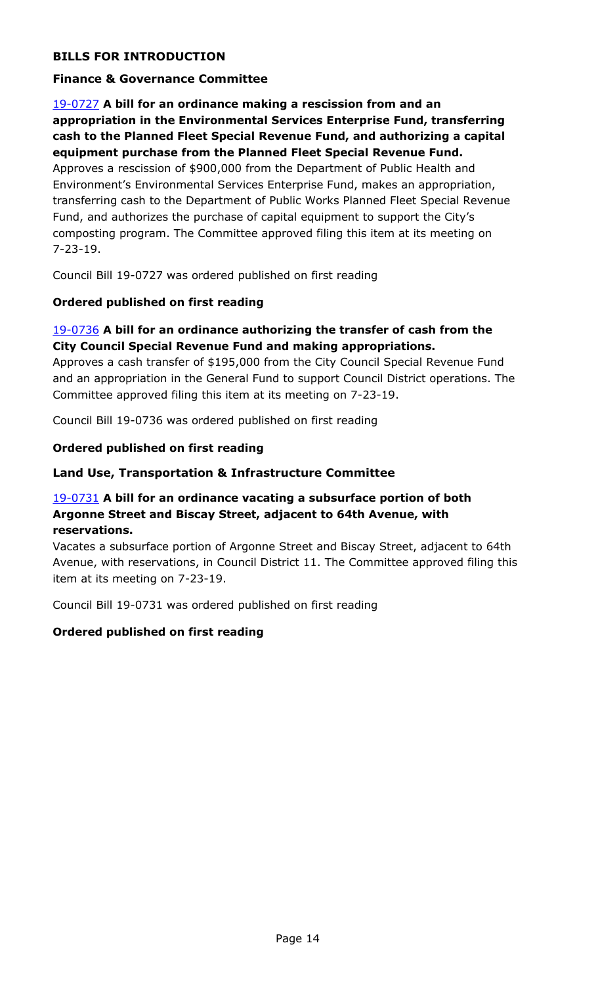# **BILLS FOR INTRODUCTION**

### **Finance & Governance Committee**

## 19-0727 **A bill for an ordinance making a rescission from and an appropriation in the Environmental Services Enterprise Fund, transferring cash to the Planned Fleet Special Revenue Fund, and authorizing a capital equipment purchase from the Planned Fleet Special Revenue Fund.**

Approves a rescission of \$900,000 from the Department of Public Health and Environment's Environmental Services Enterprise Fund, makes an appropriation, [transferring cash to the Department of Public Works Planned Fleet Special Revenue](http://denver.legistar.com/gateway.aspx?m=l&id=/matter.aspx?key=15268)  Fund, and authorizes the purchase of capital equipment to support the City's composting program. The Committee approved filing this item at its meeting on 7-23-19.

Council Bill 19-0727 was ordered published on first reading

### **Ordered published on first reading**

### 19-0736 **A bill for an ordinance authorizing the transfer of cash from the City Council Special Revenue Fund and making appropriations.**

Approves a cash transfer of \$195,000 from the City Council Special Revenue Fund [and an appropriation in the General Fund to support Council District operations. The](http://denver.legistar.com/gateway.aspx?m=l&id=/matter.aspx?key=15277)  Committee approved filing this item at its meeting on 7-23-19.

Council Bill 19-0736 was ordered published on first reading

#### **Ordered published on first reading**

#### **Land Use, Transportation & Infrastructure Committee**

### 19-0731 **A bill for an ordinance vacating a subsurface portion of both Argonne Street and Biscay Street, adjacent to 64th Avenue, with reservations.**

Vacates a subsurface portion of Argonne Street and Biscay Street, adjacent to 64th [Avenue, with reservations, in Council District 11. The Committee approved filing this](http://denver.legistar.com/gateway.aspx?m=l&id=/matter.aspx?key=15272)  item at its meeting on 7-23-19.

Council Bill 19-0731 was ordered published on first reading

#### **Ordered published on first reading**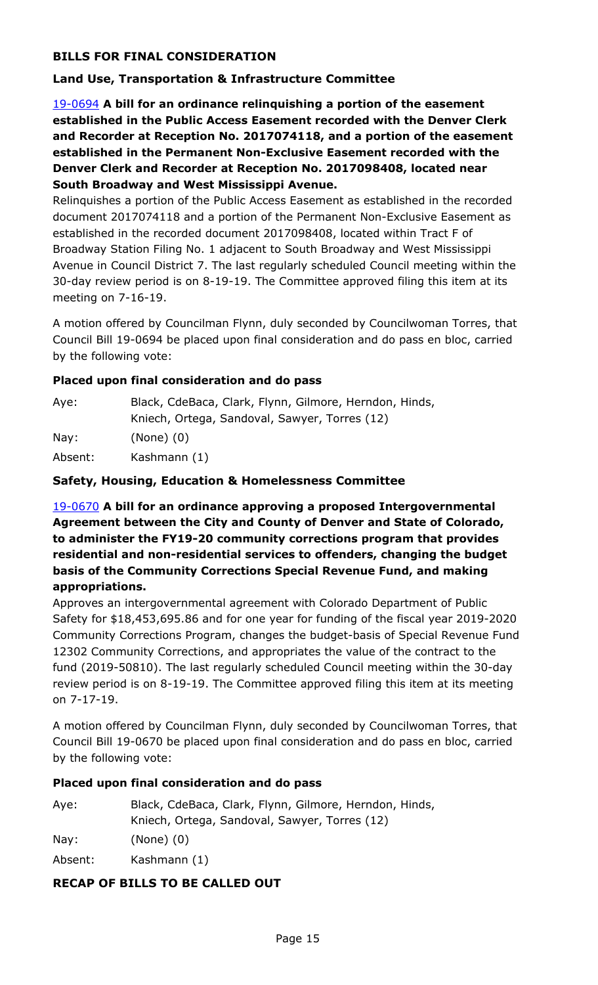# **BILLS FOR FINAL CONSIDERATION**

### **Land Use, Transportation & Infrastructure Committee**

19-0694 **A bill for an ordinance relinquishing a portion of the easement established in the Public Access Easement recorded with the Denver Clerk and Recorder at Reception No. 2017074118, and a portion of the easement established in the Permanent Non-Exclusive Easement recorded with the Denver Clerk and Recorder at Reception No. 2017098408, located near South Broadway and West Mississippi Avenue.**

Relinquishes a portion of the Public Access Easement as established in the recorded document 2017074118 and a portion of the Permanent Non-Exclusive Easement as established in the recorded document 2017098408, located within Tract F of Broadway Station Filing No. 1 adjacent to South Broadway and West Mississippi [Avenue in Council District 7. The last regularly scheduled Council meeting within the](http://denver.legistar.com/gateway.aspx?m=l&id=/matter.aspx?key=15235)  30-day review period is on 8-19-19. The Committee approved filing this item at its meeting on 7-16-19.

A motion offered by Councilman Flynn, duly seconded by Councilwoman Torres, that Council Bill 19-0694 be placed upon final consideration and do pass en bloc, carried by the following vote:

### **Placed upon final consideration and do pass**

| Aye:    | Black, CdeBaca, Clark, Flynn, Gilmore, Herndon, Hinds, |
|---------|--------------------------------------------------------|
|         | Kniech, Ortega, Sandoval, Sawyer, Torres (12)          |
| Nay:    | $(None)$ $(0)$                                         |
| Absent: | Kashmann (1)                                           |

### **Safety, Housing, Education & Homelessness Committee**

19-0670 **A bill for an ordinance approving a proposed Intergovernmental Agreement between the City and County of Denver and State of Colorado, to administer the FY19-20 community corrections program that provides residential and non-residential services to offenders, changing the budget basis of the Community Corrections Special Revenue Fund, and making appropriations.**

Approves an intergovernmental agreement with Colorado Department of Public Safety for \$18,453,695.86 and for one year for funding of the fiscal year 2019-2020 [Community Corrections Program, changes the budget-basis of Special Revenue Fund](http://denver.legistar.com/gateway.aspx?m=l&id=/matter.aspx?key=15211)  12302 Community Corrections, and appropriates the value of the contract to the fund (2019-50810). The last regularly scheduled Council meeting within the 30-day review period is on 8-19-19. The Committee approved filing this item at its meeting on 7-17-19.

A motion offered by Councilman Flynn, duly seconded by Councilwoman Torres, that Council Bill 19-0670 be placed upon final consideration and do pass en bloc, carried by the following vote:

### **Placed upon final consideration and do pass**

| Aye: | Black, CdeBaca, Clark, Flynn, Gilmore, Herndon, Hinds, |
|------|--------------------------------------------------------|
|      | Kniech, Ortega, Sandoval, Sawyer, Torres (12)          |
| Nay: | $(None)$ $(0)$                                         |
|      |                                                        |

Absent: Kashmann (1)

#### **RECAP OF BILLS TO BE CALLED OUT**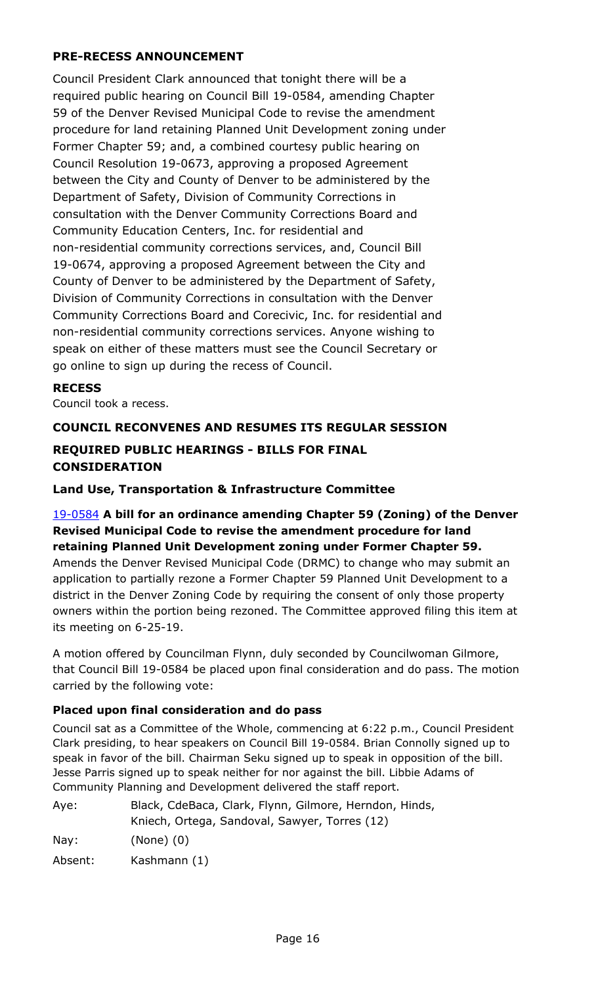# **PRE-RECESS ANNOUNCEMENT**

Council President Clark announced that tonight there will be a required public hearing on Council Bill 19-0584, amending Chapter 59 of the Denver Revised Municipal Code to revise the amendment procedure for land retaining Planned Unit Development zoning under Former Chapter 59; and, a combined courtesy public hearing on Council Resolution 19-0673, approving a proposed Agreement between the City and County of Denver to be administered by the Department of Safety, Division of Community Corrections in consultation with the Denver Community Corrections Board and Community Education Centers, Inc. for residential and non-residential community corrections services, and, Council Bill 19-0674, approving a proposed Agreement between the City and County of Denver to be administered by the Department of Safety, Division of Community Corrections in consultation with the Denver Community Corrections Board and Corecivic, Inc. for residential and non-residential community corrections services. Anyone wishing to speak on either of these matters must see the Council Secretary or go online to sign up during the recess of Council.

### **RECESS**

Council took a recess.

# **COUNCIL RECONVENES AND RESUMES ITS REGULAR SESSION**

# **REQUIRED PUBLIC HEARINGS - BILLS FOR FINAL CONSIDERATION**

### **Land Use, Transportation & Infrastructure Committee**

# 19-0584 **A bill for an ordinance amending Chapter 59 (Zoning) of the Denver Revised Municipal Code to revise the amendment procedure for land retaining Planned Unit Development zoning under Former Chapter 59.**

Amends the Denver Revised Municipal Code (DRMC) to change who may submit an application to partially rezone a Former Chapter 59 Planned Unit Development to a district in the Denver Zoning Code by requiring the consent of only those property [owners within the portion being rezoned. The Committee approved filing this item at](http://denver.legistar.com/gateway.aspx?m=l&id=/matter.aspx?key=15125)  its meeting on 6-25-19.

A motion offered by Councilman Flynn, duly seconded by Councilwoman Gilmore, that Council Bill 19-0584 be placed upon final consideration and do pass. The motion carried by the following vote:

#### **Placed upon final consideration and do pass**

Council sat as a Committee of the Whole, commencing at 6:22 p.m., Council President Clark presiding, to hear speakers on Council Bill 19-0584. Brian Connolly signed up to speak in favor of the bill. Chairman Seku signed up to speak in opposition of the bill. Jesse Parris signed up to speak neither for nor against the bill. Libbie Adams of Community Planning and Development delivered the staff report.

| Aye: | Black, CdeBaca, Clark, Flynn, Gilmore, Herndon, Hinds, |
|------|--------------------------------------------------------|
|      | Kniech, Ortega, Sandoval, Sawyer, Torres (12)          |
| . .  |                                                        |

Nay: (None) (0)

Absent: Kashmann (1)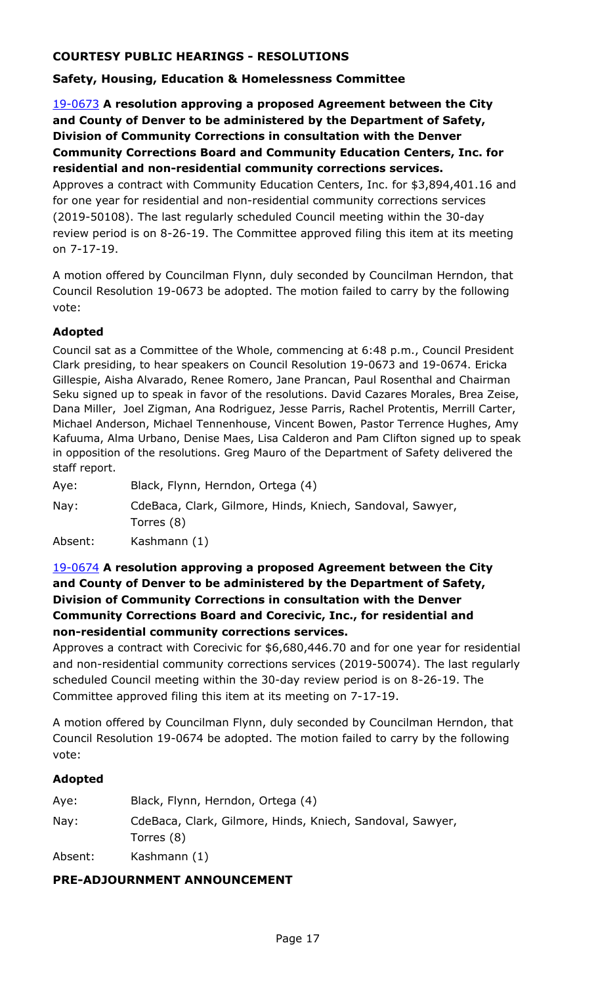# **COURTESY PUBLIC HEARINGS - RESOLUTIONS**

# **Safety, Housing, Education & Homelessness Committee**

19-0673 **A resolution approving a proposed Agreement between the City and County of Denver to be administered by the Department of Safety, Division of Community Corrections in consultation with the Denver Community Corrections Board and Community Education Centers, Inc. for residential and non-residential community corrections services.**

[Approves a contract with Community Education Centers, Inc. for \\$3,894,401.16 and](http://denver.legistar.com/gateway.aspx?m=l&id=/matter.aspx?key=15214)  for one year for residential and non-residential community corrections services (2019-50108). The last regularly scheduled Council meeting within the 30-day review period is on 8-26-19. The Committee approved filing this item at its meeting on 7-17-19.

A motion offered by Councilman Flynn, duly seconded by Councilman Herndon, that Council Resolution 19-0673 be adopted. The motion failed to carry by the following vote:

# **Adopted**

Council sat as a Committee of the Whole, commencing at 6:48 p.m., Council President Clark presiding, to hear speakers on Council Resolution 19-0673 and 19-0674. Ericka Gillespie, Aisha Alvarado, Renee Romero, Jane Prancan, Paul Rosenthal and Chairman Seku signed up to speak in favor of the resolutions. David Cazares Morales, Brea Zeise, Dana Miller, Joel Zigman, Ana Rodriguez, Jesse Parris, Rachel Protentis, Merrill Carter, Michael Anderson, Michael Tennenhouse, Vincent Bowen, Pastor Terrence Hughes, Amy Kafuuma, Alma Urbano, Denise Maes, Lisa Calderon and Pam Clifton signed up to speak in opposition of the resolutions. Greg Mauro of the Department of Safety delivered the staff report.

Aye: Black, Flynn, Herndon, Ortega (4)

Nay: CdeBaca, Clark, Gilmore, Hinds, Kniech, Sandoval, Sawyer, Torres (8)

Absent: Kashmann (1)

# 19-0674 **A resolution approving a proposed Agreement between the City and County of Denver to be administered by the Department of Safety, Division of Community Corrections in consultation with the Denver Community Corrections Board and Corecivic, Inc., for residential and non-residential community corrections services.**

[Approves a contract with Corecivic for \\$6,680,446.70 and for one year for residential](http://denver.legistar.com/gateway.aspx?m=l&id=/matter.aspx?key=15215)  and non-residential community corrections services (2019-50074). The last regularly scheduled Council meeting within the 30-day review period is on 8-26-19. The Committee approved filing this item at its meeting on 7-17-19.

A motion offered by Councilman Flynn, duly seconded by Councilman Herndon, that Council Resolution 19-0674 be adopted. The motion failed to carry by the following vote:

#### **Adopted**

| Aye:    | Black, Flynn, Herndon, Ortega (4)                                       |
|---------|-------------------------------------------------------------------------|
| Nay:    | CdeBaca, Clark, Gilmore, Hinds, Kniech, Sandoval, Sawyer,<br>Torres (8) |
| Absent: | Kashmann (1)                                                            |

# **PRE-ADJOURNMENT ANNOUNCEMENT**